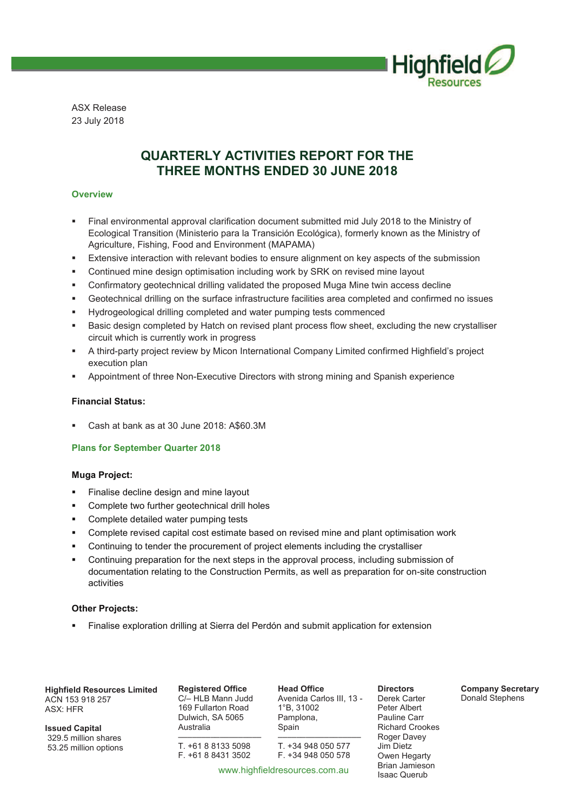

ASX Release 23 July 2018

# **QUARTERLY ACTIVITIES REPORT FOR THE THREE MONTHS ENDED 30 JUNE 2018**

# **Overview**

- Final environmental approval clarification document submitted mid July 2018 to the Ministry of Ecological Transition (Ministerio para la Transición Ecológica), formerly known as the Ministry of Agriculture, Fishing, Food and Environment (MAPAMA)
- **■** Extensive interaction with relevant bodies to ensure alignment on key aspects of the submission
- § Continued mine design optimisation including work by SRK on revised mine layout
- Confirmatory geotechnical drilling validated the proposed Muga Mine twin access decline
- § Geotechnical drilling on the surface infrastructure facilities area completed and confirmed no issues
- § Hydrogeological drilling completed and water pumping tests commenced
- **■** Basic design completed by Hatch on revised plant process flow sheet, excluding the new crystalliser circuit which is currently work in progress
- § A third-party project review by Micon International Company Limited confirmed Highfield's project execution plan
- § Appointment of three Non-Executive Directors with strong mining and Spanish experience

## **Financial Status:**

§ Cash at bank as at 30 June 2018: A\$60.3M

## **Plans for September Quarter 2018**

#### **Muga Project:**

- § Finalise decline design and mine layout
- § Complete two further geotechnical drill holes
- § Complete detailed water pumping tests
- § Complete revised capital cost estimate based on revised mine and plant optimisation work
- § Continuing to tender the procurement of project elements including the crystalliser
- § Continuing preparation for the next steps in the approval process, including submission of documentation relating to the Construction Permits, as well as preparation for on-site construction activities

#### **Other Projects:**

§ Finalise exploration drilling at Sierra del Perdón and submit application for extension

**Highfield Resources Limited**  ACN 153 918 257 ASX: HFR

**Issued Capital** 329.5 million shares 53.25 million options **Registered Office**  C/– HLB Mann Judd 169 Fullarton Road Dulwich, SA 5065 Australia

–––––––––––––––––– T. +61 8 8133 5098  $F$  +61 8 8431 3502

**Head Office**  Avenida Carlos III, 13 - 1°B, 31002 Pamplona, Spain

–––––––––––––––––– T. +34 948 050 577 F. +34 948 050 578

Derek Carter Peter Albert Pauline Carr Richard Crookes Roger Davey Jim Dietz Owen Hegarty Brian Jamieson Isaac Querub

**Directors** 

**Company Secretary**  Donald Stephens

www.highfieldresources.com.au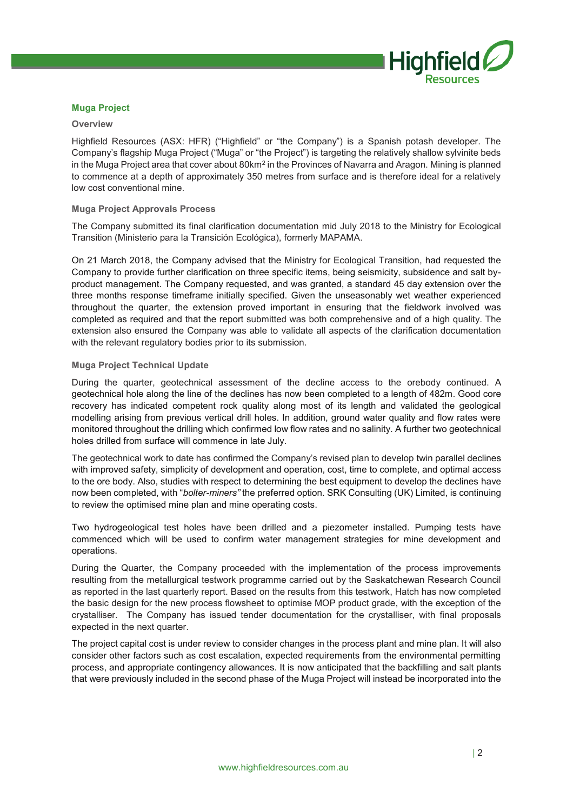

### **Muga Project**

#### **Overview**

Highfield Resources (ASX: HFR) ("Highfield" or "the Company") is a Spanish potash developer. The Company's flagship Muga Project ("Muga" or "the Project") is targeting the relatively shallow sylvinite beds in the Muga Project area that cover about 80km<sup>2</sup> in the Provinces of Navarra and Aragon. Mining is planned to commence at a depth of approximately 350 metres from surface and is therefore ideal for a relatively low cost conventional mine.

#### **Muga Project Approvals Process**

The Company submitted its final clarification documentation mid July 2018 to the Ministry for Ecological Transition (Ministerio para la Transición Ecológica), formerly MAPAMA.

On 21 March 2018, the Company advised that the Ministry for Ecological Transition, had requested the Company to provide further clarification on three specific items, being seismicity, subsidence and salt byproduct management. The Company requested, and was granted, a standard 45 day extension over the three months response timeframe initially specified. Given the unseasonably wet weather experienced throughout the quarter, the extension proved important in ensuring that the fieldwork involved was completed as required and that the report submitted was both comprehensive and of a high quality. The extension also ensured the Company was able to validate all aspects of the clarification documentation with the relevant regulatory bodies prior to its submission.

#### **Muga Project Technical Update**

During the quarter, geotechnical assessment of the decline access to the orebody continued. A geotechnical hole along the line of the declines has now been completed to a length of 482m. Good core recovery has indicated competent rock quality along most of its length and validated the geological modelling arising from previous vertical drill holes. In addition, ground water quality and flow rates were monitored throughout the drilling which confirmed low flow rates and no salinity. A further two geotechnical holes drilled from surface will commence in late July.

The geotechnical work to date has confirmed the Company's revised plan to develop twin parallel declines with improved safety, simplicity of development and operation, cost, time to complete, and optimal access to the ore body. Also, studies with respect to determining the best equipment to develop the declines have now been completed, with "*bolter-miners"* the preferred option. SRK Consulting (UK) Limited, is continuing to review the optimised mine plan and mine operating costs.

Two hydrogeological test holes have been drilled and a piezometer installed. Pumping tests have commenced which will be used to confirm water management strategies for mine development and operations.

During the Quarter, the Company proceeded with the implementation of the process improvements resulting from the metallurgical testwork programme carried out by the Saskatchewan Research Council as reported in the last quarterly report. Based on the results from this testwork, Hatch has now completed the basic design for the new process flowsheet to optimise MOP product grade, with the exception of the crystalliser. The Company has issued tender documentation for the crystalliser, with final proposals expected in the next quarter.

The project capital cost is under review to consider changes in the process plant and mine plan. It will also consider other factors such as cost escalation, expected requirements from the environmental permitting process, and appropriate contingency allowances. It is now anticipated that the backfilling and salt plants that were previously included in the second phase of the Muga Project will instead be incorporated into the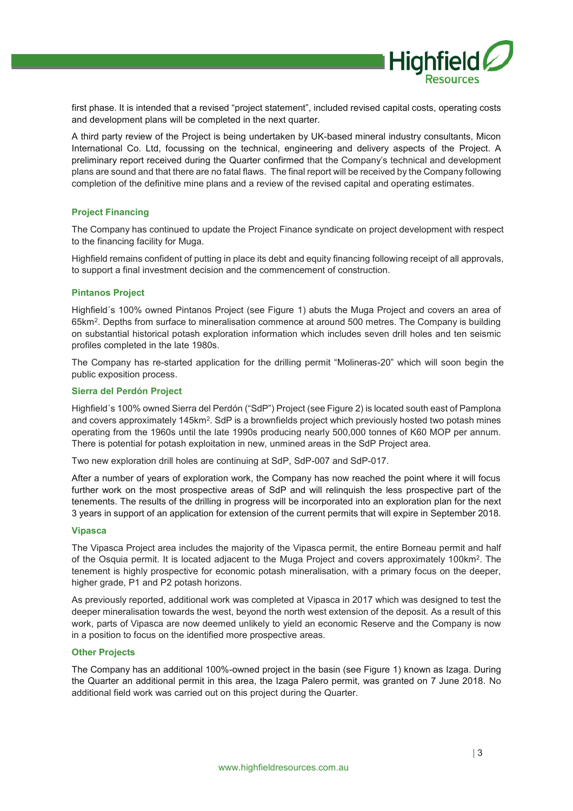

first phase. It is intended that a revised "project statement", included revised capital costs, operating costs and development plans will be completed in the next quarter.

A third party review of the Project is being undertaken by UK-based mineral industry consultants, Micon International Co. Ltd, focussing on the technical, engineering and delivery aspects of the Project. A preliminary report received during the Quarter confirmed that the Company's technical and development plans are sound and that there are no fatal flaws. The final report will be received by the Company following completion of the definitive mine plans and a review of the revised capital and operating estimates.

#### **Project Financing**

The Company has continued to update the Project Finance syndicate on project development with respect to the financing facility for Muga.

Highfield remains confident of putting in place its debt and equity financing following receipt of all approvals, to support a final investment decision and the commencement of construction.

#### **Pintanos Project**

Highfield´s 100% owned Pintanos Project (see Figure 1) abuts the Muga Project and covers an area of 65km<sup>2</sup>. Depths from surface to mineralisation commence at around 500 metres. The Company is building on substantial historical potash exploration information which includes seven drill holes and ten seismic profiles completed in the late 1980s.

The Company has re-started application for the drilling permit "Molineras-20" which will soon begin the public exposition process.

#### **Sierra del Perdón Project**

Highfield´s 100% owned Sierra del Perdón ("SdP") Project (see Figure 2) is located south east of Pamplona and covers approximately 145km<sup>2</sup>. SdP is a brownfields project which previously hosted two potash mines operating from the 1960s until the late 1990s producing nearly 500,000 tonnes of K60 MOP per annum. There is potential for potash exploitation in new, unmined areas in the SdP Project area.

Two new exploration drill holes are continuing at SdP, SdP-007 and SdP-017.

After a number of years of exploration work, the Company has now reached the point where it will focus further work on the most prospective areas of SdP and will relinquish the less prospective part of the tenements. The results of the drilling in progress will be incorporated into an exploration plan for the next 3 years in support of an application for extension of the current permits that will expire in September 2018.

#### **Vipasca**

The Vipasca Project area includes the majority of the Vipasca permit, the entire Borneau permit and half of the Osquia permit. It is located adjacent to the Muga Project and covers approximately 100km<sup>2</sup> . The tenement is highly prospective for economic potash mineralisation, with a primary focus on the deeper, higher grade, P1 and P2 potash horizons.

As previously reported, additional work was completed at Vipasca in 2017 which was designed to test the deeper mineralisation towards the west, beyond the north west extension of the deposit. As a result of this work, parts of Vipasca are now deemed unlikely to yield an economic Reserve and the Company is now in a position to focus on the identified more prospective areas.

## **Other Projects**

The Company has an additional 100%-owned project in the basin (see Figure 1) known as Izaga. During the Quarter an additional permit in this area, the Izaga Palero permit, was granted on 7 June 2018. No additional field work was carried out on this project during the Quarter.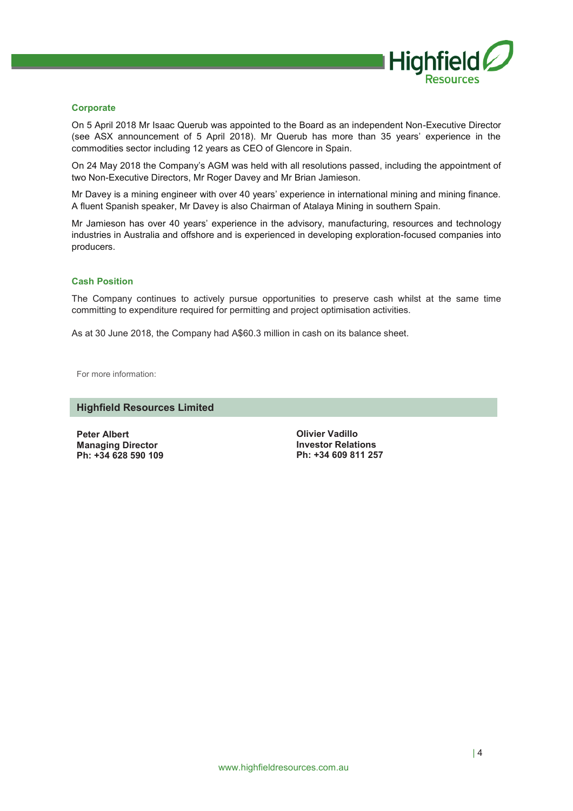

### **Corporate**

On 5 April 2018 Mr Isaac Querub was appointed to the Board as an independent Non-Executive Director (see ASX announcement of 5 April 2018). Mr Querub has more than 35 years' experience in the commodities sector including 12 years as CEO of Glencore in Spain.

On 24 May 2018 the Company's AGM was held with all resolutions passed, including the appointment of two Non-Executive Directors, Mr Roger Davey and Mr Brian Jamieson.

Mr Davey is a mining engineer with over 40 years' experience in international mining and mining finance. A fluent Spanish speaker, Mr Davey is also Chairman of Atalaya Mining in southern Spain.

Mr Jamieson has over 40 years' experience in the advisory, manufacturing, resources and technology industries in Australia and offshore and is experienced in developing exploration-focused companies into producers.

#### **Cash Position**

The Company continues to actively pursue opportunities to preserve cash whilst at the same time committing to expenditure required for permitting and project optimisation activities.

As at 30 June 2018, the Company had A\$60.3 million in cash on its balance sheet.

For more information:

# **Highfield Resources Limited**

**Peter Albert Managing Director Ph: +34 628 590 109**

**Olivier Vadillo Investor Relations Ph: +34 609 811 257**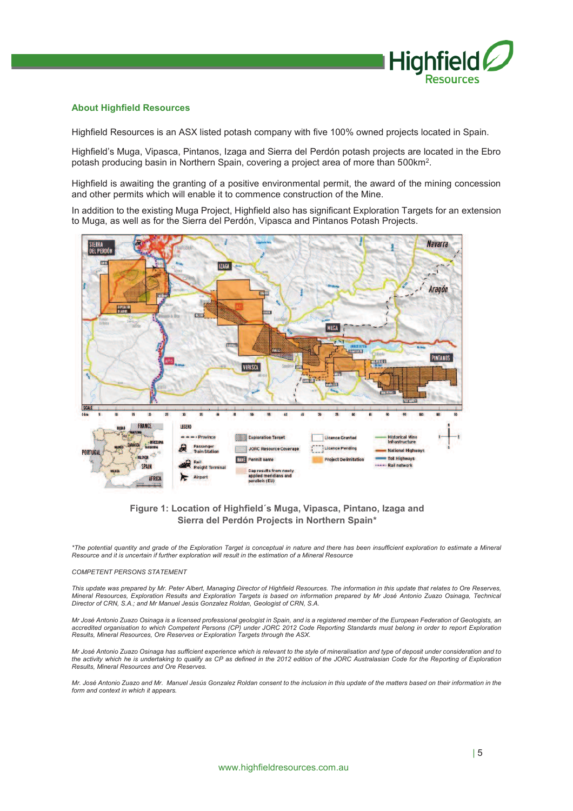

#### **About Highfield Resources**

Highfield Resources is an ASX listed potash company with five 100% owned projects located in Spain.

Highfield's Muga, Vipasca, Pintanos, Izaga and Sierra del Perdón potash projects are located in the Ebro potash producing basin in Northern Spain, covering a project area of more than 500km<sup>2</sup>.

Highfield is awaiting the granting of a positive environmental permit, the award of the mining concession and other permits which will enable it to commence construction of the Mine.

In addition to the existing Muga Project, Highfield also has significant Exploration Targets for an extension to Muga, as well as for the Sierra del Perdón, Vipasca and Pintanos Potash Projects.



# **Figure 1: Location of Highfield´s Muga, Vipasca, Pintano, Izaga and Sierra del Perdón Projects in Northern Spain\***

\*The potential quantity and grade of the Exploration Target is conceptual in nature and there has been insufficient exploration to estimate a Mineral<br>Resource and it is uncertain if further exploration will result in the e

#### *COMPETENT PERSONS STATEMENT*

This update was prepared by Mr. Peter Albert, Managing Director of Highfield Resources. The information in this update that relates to Ore Reserves,<br>Mineral Resources, Exploration Results and Exploration Targets is based o *Director of CRN, S.A.; and Mr Manuel Jesús Gonzalez Roldan, Geologist of CRN, S.A.* 

Mr José Antonio Zuazo Osinaga is a licensed professional geologist in Spain, and is a registered member of the European Federation of Geologists, an<br>accredited organisation to which Competent Persons (CP) under JORC 2012 C

*Mr José Antonio Zuazo Osinaga has sufficient experience which is relevant to the style of mineralisation and type of deposit under consideration and to*  the activity which he is undertaking to qualify as CP as defined in the 2012 edition of the JORC Australasian Code for the Reporting of Exploration *Results, Mineral Resources and Ore Reserves.* 

*Mr. José Antonio Zuazo and Mr. Manuel Jesús Gonzalez Roldan consent to the inclusion in this update of the matters based on their information in the form and context in which it appears.*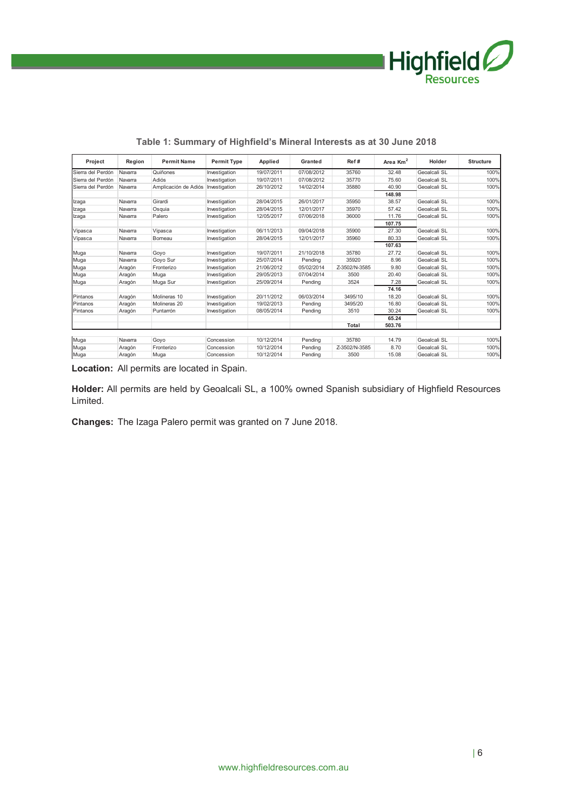

| Project           | Region  | <b>Permit Name</b>   | <b>Permit Type</b> | Applied    | Granted    | Ref#          | Area $Km2$ | Holder       | <b>Structure</b> |
|-------------------|---------|----------------------|--------------------|------------|------------|---------------|------------|--------------|------------------|
| Sierra del Perdón | Navarra | Quiñones             | Investigation      | 19/07/2011 | 07/08/2012 | 35760         | 32.48      | Geoalcali SL | 100%             |
| Sierra del Perdón | Navarra | Adiós                | Investigation      | 19/07/2011 | 07/08/2012 | 35770         | 75.60      | Geoalcali SL | 100%             |
| Sierra del Perdón | Navarra | Amplicación de Adiós | Investigation      | 26/10/2012 | 14/02/2014 | 35880         | 40.90      | Geoalcali SL | 100%             |
|                   |         |                      |                    |            |            |               | 148.98     |              |                  |
| Izaga             | Navarra | Girardi              | Investigation      | 28/04/2015 | 26/01/2017 | 35950         | 38.57      | Geoalcali SL | 100%             |
| Izaga             | Navarra | Osquia               | Investigation      | 28/04/2015 | 12/01/2017 | 35970         | 57.42      | Geoalcali SL | 100%             |
| Izaga             | Navarra | Palero               | Investigation      | 12/05/2017 | 07/06/2018 | 36000         | 11.76      | Geoalcali SL | 100%             |
|                   |         |                      |                    |            |            |               | 107.75     |              |                  |
| Vipasca           | Navarra | Vipasca              | Investigation      | 06/11/2013 | 09/04/2018 | 35900         | 27.30      | Geoalcali SL | 100%             |
| Vipasca           | Navarra | Bomeau               | Investigation      | 28/04/2015 | 12/01/2017 | 35960         | 80.33      | Geoalcali SL | 100%             |
|                   |         |                      |                    |            |            |               | 107.63     |              |                  |
| Muga              | Navarra | Goyo                 | Investigation      | 19/07/2011 | 21/10/2018 | 35780         | 27.72      | Geoalcali SL | 100%             |
| Muga              | Navarra | Goyo Sur             | Investigation      | 25/07/2014 | Pending    | 35920         | 8.96       | Geoalcali SL | 100%             |
| Muga              | Aragón  | Fronterizo           | Investigation      | 21/06/2012 | 05/02/2014 | Z-3502/N-3585 | 9.80       | Geoalcali SL | 100%             |
| Muga              | Aragón  | Muga                 | Investigation      | 29/05/2013 | 07/04/2014 | 3500          | 20.40      | Geoalcali SL | 100%             |
| Muga              | Aragón  | Muga Sur             | Investigation      | 25/09/2014 | Pendina    | 3524          | 7.28       | Geoalcali SL | 100%             |
|                   |         |                      |                    |            |            |               | 74.16      |              |                  |
| Pintanos          | Aragón  | Molineras 10         | Investigation      | 20/11/2012 | 06/03/2014 | 3495/10       | 18.20      | Geoalcali SL | 100%             |
| Pintanos          | Aragón  | Molineras 20         | Investigation      | 19/02/2013 | Pendina    | 3495/20       | 16.80      | Geoalcali SL | 100%             |
| Pintanos          | Aragón  | Puntarrón            | Investigation      | 08/05/2014 | Pending    | 3510          | 30.24      | Geoalcali SL | 100%             |
|                   |         |                      |                    |            |            |               | 65.24      |              |                  |
|                   |         |                      |                    |            |            | Total         | 503.76     |              |                  |
|                   |         |                      |                    |            |            |               |            |              |                  |
| Muga              | Navarra | Goyo                 | Concession         | 10/12/2014 | Pendina    | 35780         | 14.79      | Geoalcali SL | 100%             |
| Muga              | Aragón  | Fronterizo           | Concession         | 10/12/2014 | Pending    | Z-3502/N-3585 | 8.70       | Geoalcali SL | 100%             |
| Muga              | Aragón  | Muga                 | Concession         | 10/12/2014 | Pendina    | 3500          | 15.08      | Geoalcali SL | 100%             |

# **Table 1: Summary of Highfield's Mineral Interests as at 30 June 2018**

**Location:** All permits are located in Spain.

**Holder:** All permits are held by Geoalcali SL, a 100% owned Spanish subsidiary of Highfield Resources Limited.

**Changes:** The Izaga Palero permit was granted on 7 June 2018.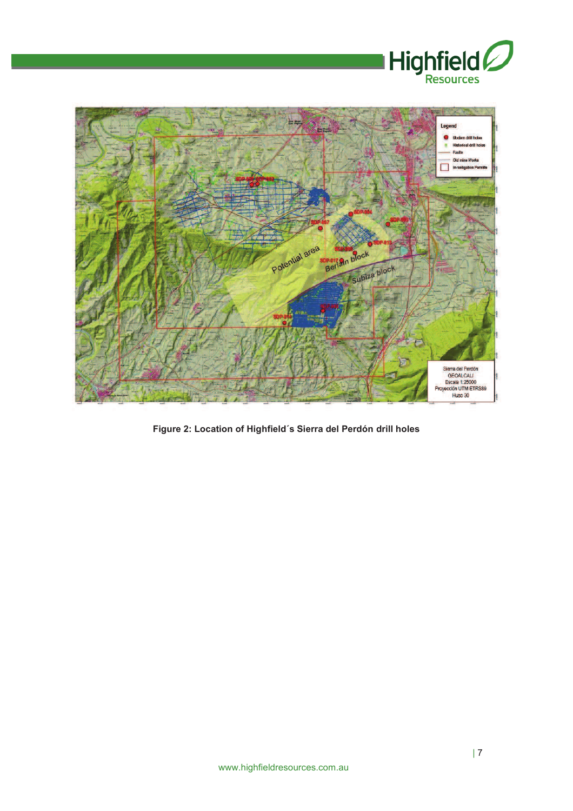



**Figure 2: Location of Highfield´s Sierra del Perdón drill holes**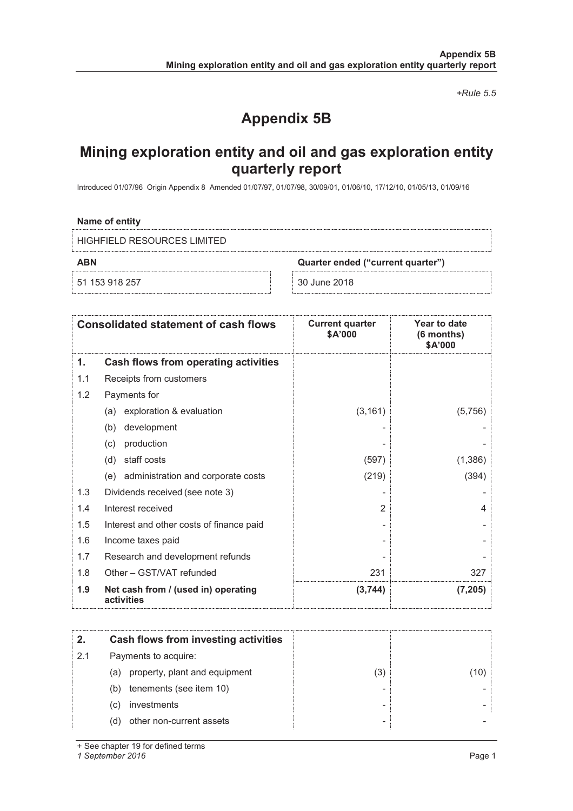*+Rule 5.5* 

# **Appendix 5B**

# **Mining exploration entity and oil and gas exploration entity quarterly report**

Introduced 01/07/96 Origin Appendix 8 Amended 01/07/97, 01/07/98, 30/09/01, 01/06/10, 17/12/10, 01/05/13, 01/09/16

# **Name of entity**

HIGHFIELD RESOURCES LIMITED

51 153 918 257 30 June 2018

**ABN Quarter ended ("current quarter")**

|     | <b>Consolidated statement of cash flows</b>       | <b>Current quarter</b><br>\$A'000 | Year to date<br>(6 months)<br>\$A'000 |
|-----|---------------------------------------------------|-----------------------------------|---------------------------------------|
| 1.  | Cash flows from operating activities              |                                   |                                       |
| 1.1 | Receipts from customers                           |                                   |                                       |
| 1.2 | Payments for                                      |                                   |                                       |
|     | exploration & evaluation<br>(a)                   | (3, 161)                          | (5,756)                               |
|     | development<br>(b)                                |                                   |                                       |
|     | production<br>(c)                                 |                                   |                                       |
|     | staff costs<br>(d)                                | (597)                             | (1,386)                               |
|     | (e) administration and corporate costs            | (219)                             | (394)                                 |
| 1.3 | Dividends received (see note 3)                   |                                   |                                       |
| 1.4 | Interest received                                 | $\overline{2}$                    | 4                                     |
| 1.5 | Interest and other costs of finance paid          |                                   |                                       |
| 1.6 | Income taxes paid                                 |                                   |                                       |
| 1.7 | Research and development refunds                  |                                   |                                       |
| 1.8 | Other - GST/VAT refunded                          | 231                               | 327                                   |
| 1.9 | Net cash from / (used in) operating<br>activities | (3,744)                           | (7, 205)                              |

| 2.  | Cash flows from investing activities |     |  |
|-----|--------------------------------------|-----|--|
| 2.1 | Payments to acquire:                 |     |  |
|     | property, plant and equipment<br>(a) | (3) |  |
|     | tenements (see item 10)<br>(b)       |     |  |
|     | investments<br>(C)                   |     |  |
|     | other non-current assets<br>(d)      | ٠   |  |

+ See chapter 19 for defined terms

*1 September 2016* Page 1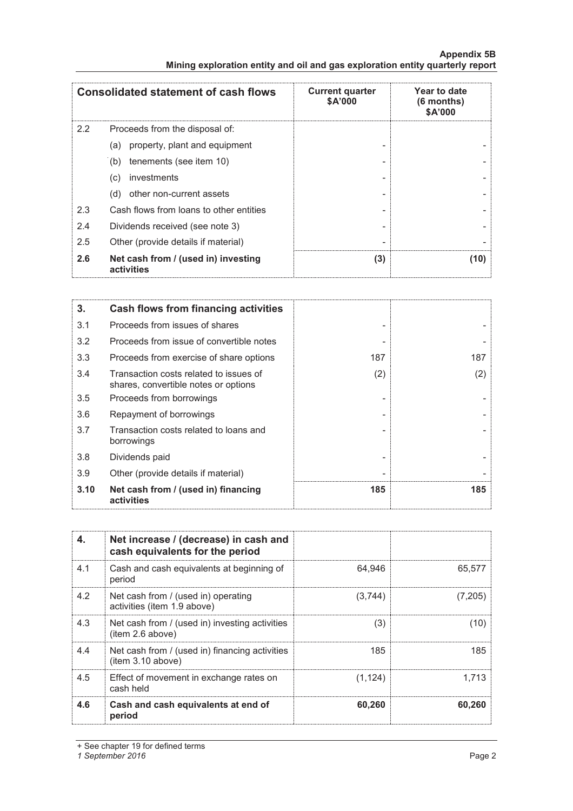|     | <b>Consolidated statement of cash flows</b>       | <b>Current quarter</b><br>\$A'000 | Year to date<br>(6 months)<br>\$A'000 |
|-----|---------------------------------------------------|-----------------------------------|---------------------------------------|
| 2.2 | Proceeds from the disposal of:                    |                                   |                                       |
|     | property, plant and equipment<br>(a)              |                                   |                                       |
|     | tenements (see item 10)<br>(b)                    |                                   |                                       |
|     | investments<br>(c)                                |                                   |                                       |
|     | other non-current assets<br>(d)                   |                                   |                                       |
| 2.3 | Cash flows from loans to other entities           |                                   |                                       |
| 2.4 | Dividends received (see note 3)                   |                                   |                                       |
| 2.5 | Other (provide details if material)               |                                   |                                       |
| 2.6 | Net cash from / (used in) investing<br>activities | (3)                               | (10)                                  |

# **Appendix 5B Mining exploration entity and oil and gas exploration entity quarterly report**

| 3.   | Cash flows from financing activities                                           |     |     |
|------|--------------------------------------------------------------------------------|-----|-----|
| 3.1  | Proceeds from issues of shares                                                 |     |     |
| 3.2  | Proceeds from issue of convertible notes                                       |     |     |
| 3.3  | Proceeds from exercise of share options                                        | 187 | 187 |
| 3.4  | Transaction costs related to issues of<br>shares, convertible notes or options | (2) | (2) |
| 3.5  | Proceeds from borrowings                                                       |     |     |
| 3.6  | Repayment of borrowings                                                        |     |     |
| 3.7  | Transaction costs related to loans and<br>borrowings                           |     |     |
| 3.8  | Dividends paid                                                                 |     |     |
| 3.9  | Other (provide details if material)                                            |     |     |
| 3.10 | Net cash from / (used in) financing<br>activities                              | 185 | 185 |

| 4.  | Net increase / (decrease) in cash and<br>cash equivalents for the period |          |         |
|-----|--------------------------------------------------------------------------|----------|---------|
| 4.1 | Cash and cash equivalents at beginning of<br>period                      | 64.946   | 65,577  |
| 4.2 | Net cash from / (used in) operating<br>activities (item 1.9 above)       | (3,744)  | (7,205) |
| 4.3 | Net cash from / (used in) investing activities<br>(item 2.6 above)       | (3)      | (10)    |
| 4.4 | Net cash from / (used in) financing activities<br>item 3.10 above)       | 185      | 185     |
| 4.5 | Effect of movement in exchange rates on<br>cash held                     | (1, 124) | 1.713   |
| 4.6 | Cash and cash equivalents at end of<br>period                            | 60,260   | 60.260  |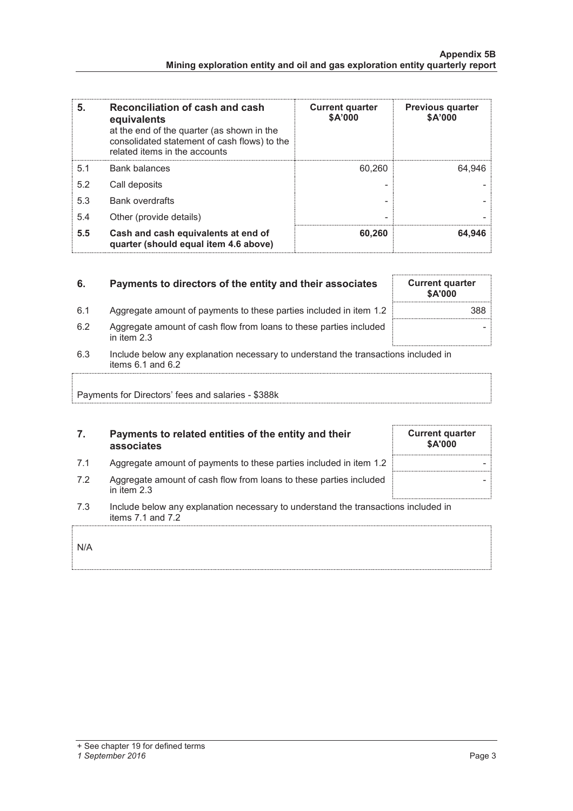| 5.  | Reconciliation of cash and cash<br>equivalents<br>at the end of the quarter (as shown in the<br>consolidated statement of cash flows) to the<br>related items in the accounts | <b>Current quarter</b><br>\$A'000 | <b>Previous quarter</b><br>\$A'000 |
|-----|-------------------------------------------------------------------------------------------------------------------------------------------------------------------------------|-----------------------------------|------------------------------------|
| 5.1 | <b>Bank balances</b>                                                                                                                                                          | 60.260                            | 64.946                             |
| 5.2 | Call deposits                                                                                                                                                                 |                                   |                                    |
| 5.3 | <b>Bank overdrafts</b>                                                                                                                                                        |                                   |                                    |
| 5.4 | Other (provide details)                                                                                                                                                       | -                                 |                                    |
| 5.5 | Cash and cash equivalents at end of<br>quarter (should equal item 4.6 above)                                                                                                  | 60,260                            | 64,946                             |

# **6.** Payments to directors of the entity and their associates Current quarter **\$A'000**  6.1 Aggregate amount of payments to these parties included in item 1.2 6.2 Aggregate amount of cash flow from loans to these parties included in item 2.3

6.3 Include below any explanation necessary to understand the transactions included in items  $6.1$  and  $6.2$ 

Payments for Directors' fees and salaries - \$388k

# **7. Payments to related entities of the entity and their associates**

- 7.1 Aggregate amount of payments to these parties included in item 1.2
- 7.2 Aggregate amount of cash flow from loans to these parties included in item 2.3
- 7.3 Include below any explanation necessary to understand the transactions included in items 7.1 and 7.2

N/A

# *1 September 2016* Page 3

|  | <b>Current quarter</b> | \$A'000 |  |  |
|--|------------------------|---------|--|--|
|  |                        |         |  |  |
|  |                        |         |  |  |
|  |                        |         |  |  |

-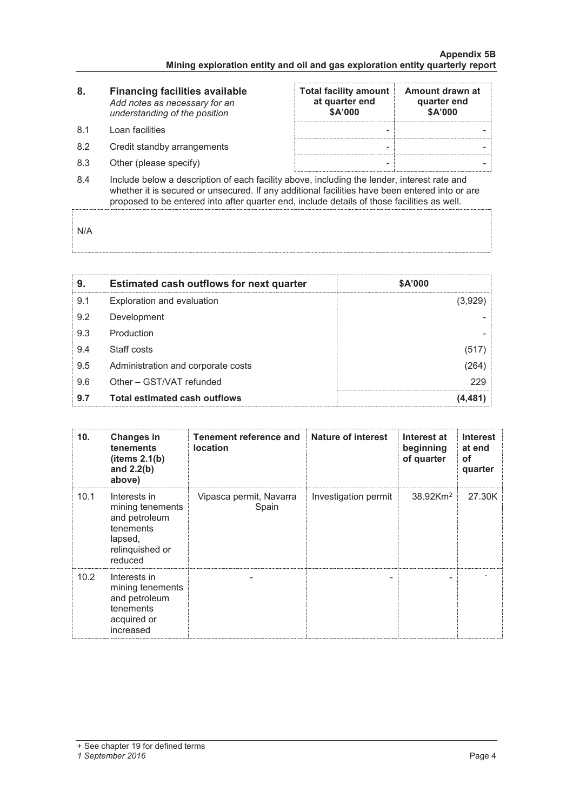| 8.               | <b>Financing facilities available</b><br>Add notes as necessary for an<br>understanding of the position                                                                                                                        | <b>Total facility amount</b><br>at quarter end<br>\$A'000 | Amount drawn at<br>quarter end<br>\$A'000 |
|------------------|--------------------------------------------------------------------------------------------------------------------------------------------------------------------------------------------------------------------------------|-----------------------------------------------------------|-------------------------------------------|
| .8.1             | Loan facilities                                                                                                                                                                                                                |                                                           |                                           |
| 8.2              | Credit standby arrangements                                                                                                                                                                                                    | -                                                         |                                           |
| 8.3              | Other (please specify)                                                                                                                                                                                                         | -                                                         |                                           |
| $\sim$ $\lambda$ | the cheater to choose a chemical control of the called Microsoft and the chemical control of the control of the conditional control of the condition of the condition of the condition of the condition of the condition of th |                                                           |                                           |

8.4 Include below a description of each facility above, including the lender, interest rate and whether it is secured or unsecured. If any additional facilities have been entered into or are proposed to be entered into after quarter end, include details of those facilities as well.

N/A

| 9.  | <b>Estimated cash outflows for next quarter</b> | \$A'000 |
|-----|-------------------------------------------------|---------|
| 9.1 | Exploration and evaluation                      | (3,929) |
| 9.2 | Development                                     |         |
| 9.3 | Production                                      |         |
| 9.4 | Staff costs                                     | (517)   |
| 9.5 | Administration and corporate costs              | (264)   |
| 9.6 | Other - GST/VAT refunded                        | 229     |
| 9.7 | <b>Total estimated cash outflows</b>            | (4.481) |

| 10 <sub>1</sub> | <b>Changes in</b><br>tenements<br>(items 2.1(b)<br>and $2.2(b)$<br>above)                               | <b>Tenement reference and</b><br><b>location</b> | Nature of interest   | Interest at<br>beginning<br>of quarter | <b>Interest</b><br>at end<br>of<br>quarter |
|-----------------|---------------------------------------------------------------------------------------------------------|--------------------------------------------------|----------------------|----------------------------------------|--------------------------------------------|
| 10.1            | Interests in<br>mining tenements<br>and petroleum<br>tenements<br>lapsed,<br>relinguished or<br>reduced | Vipasca permit, Navarra<br>Spain                 | Investigation permit | $38.92$ Km <sup>2</sup>                | 27.30K                                     |
| 10.2            | Interests in<br>mining tenements<br>and petroleum<br>tenements<br>acquired or<br>increased              |                                                  |                      |                                        |                                            |

#### *1 September 2016* Page 4